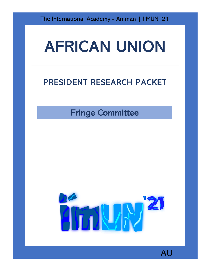The International Academy - Amman | I'MUN '21

## AFRICAN UNION

## PRESIDENT RESEARCH PACKET

Fringe Committee



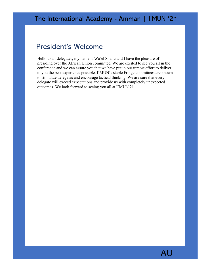## President's Welcome

Hello to all delegates, my name is Wa'el Shanti and I have the pleasure of presiding over the African Union committee. We are excited to see you all in the conference and we can assure you that we have put in our utmost effort to deliver to you the best experience possible. I'MUN's staple Fringe committees are known to stimulate delegates and encourage tactical thinking. We are sure that every delegate will exceed expectations and provide us with completely unexpected outcomes. We look forward to seeing you all at I'MUN 21.